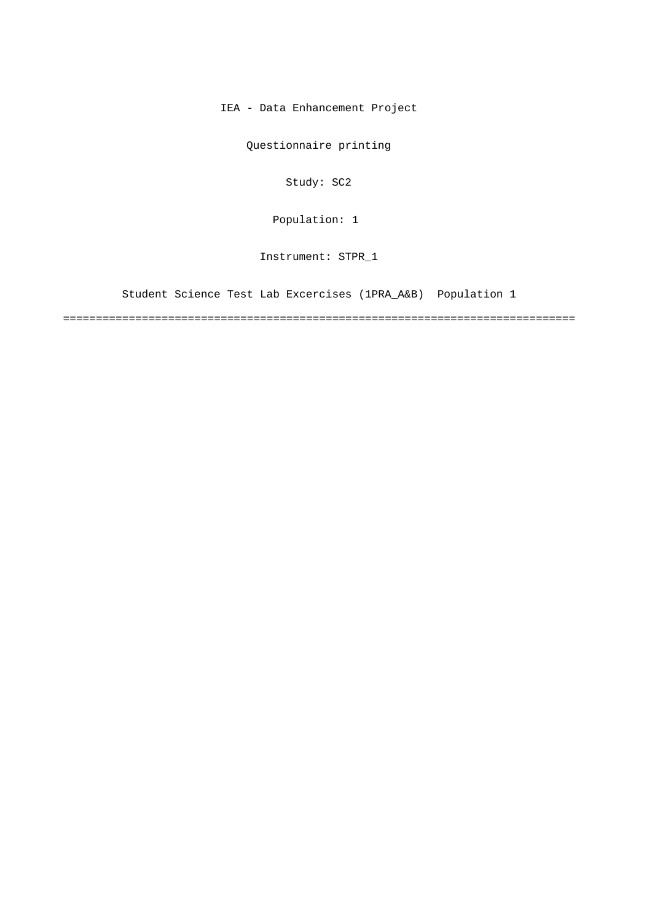IEA - Data Enhancement Project

Questionnaire printing

Study: SC2

Population: 1

Instrument: STPR\_1

Student Science Test Lab Excercises (1PRA\_A&B) Population 1

==============================================================================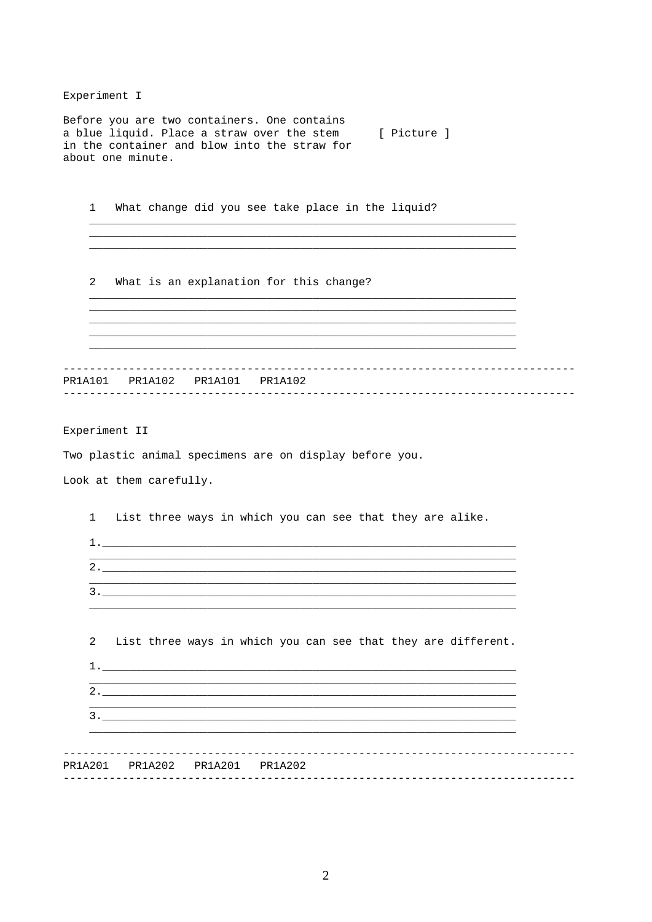## Experiment I

Before you are two containers. One contains a blue liquid. Place a straw over the stem [ Picture ] in the container and blow into the straw for about one minute.

 $1$ What change did you see take place in the liquid?

2 What is an explanation for this change?

Experiment II

Two plastic animal specimens are on display before you.

Look at them carefully.

 $\mathbf{1}$ List three ways in which you can see that they are alike.  $1.$ <u> 1989 - Jan James James James James James James James James James James James James James James James James</u>  $2.$ <u> 1989 - Johann Johann Stoff, deutscher Stoffen und der Stoffen und der Stoffen und der Stoffen und der Stoffen</u>  $\overline{a}$ List three ways in which you can see that they are different.  $1.$  $2.$  $3.$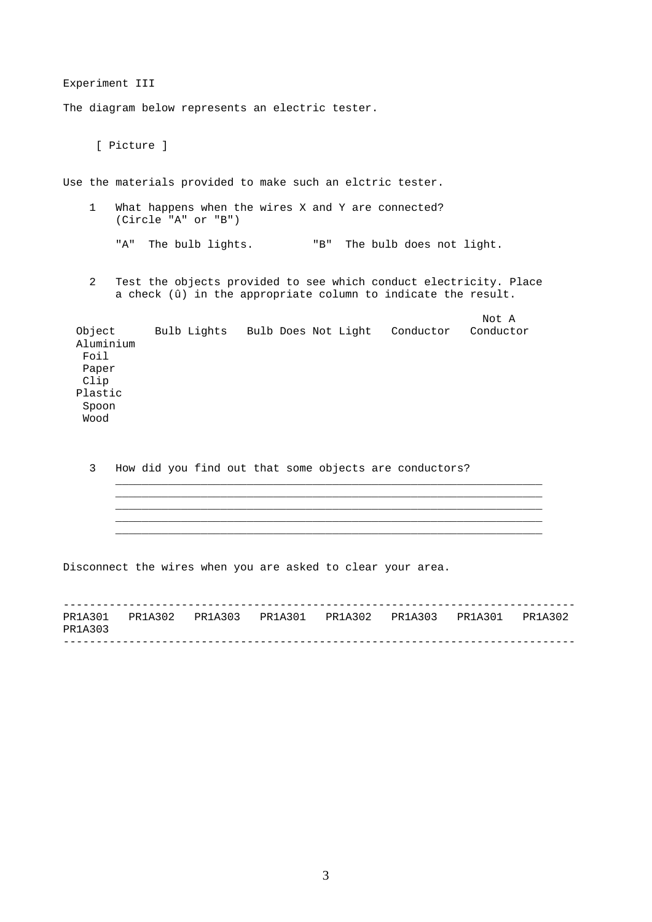Experiment III The diagram below represents an electric tester. [ Picture ] Use the materials provided to make such an elctric tester. 1 What happens when the wires X and Y are connected? (Circle "A" or "B") "A" The bulb lights. "B" The bulb does not light.

2 Test the objects provided to see which conduct electricity. Place a check (û) in the appropriate column to indicate the result.

| Object<br>Aluminium | Bulb Lights | Bulb Does Not Light | Conductor | Not A<br>Conductor |
|---------------------|-------------|---------------------|-----------|--------------------|
| Foil                |             |                     |           |                    |
| Paper               |             |                     |           |                    |
| Clip                |             |                     |           |                    |
| Plastic             |             |                     |           |                    |
| Spoon               |             |                     |           |                    |
| Wood                |             |                     |           |                    |

3 How did you find out that some objects are conductors?

Disconnect the wires when you are asked to clear your area.

------------------------------------------------------------------------------ ------------------------------------------------------------------------------ PR1A301 PR1A302 PR1A303 PR1A301 PR1A302 PR1A303 PR1A301 PR1A302 PR1A303

\_\_\_\_\_\_\_\_\_\_\_\_\_\_\_\_\_\_\_\_\_\_\_\_\_\_\_\_\_\_\_\_\_\_\_\_\_\_\_\_\_\_\_\_\_\_\_\_\_\_\_\_\_\_\_\_\_\_\_\_\_\_\_\_\_ \_\_\_\_\_\_\_\_\_\_\_\_\_\_\_\_\_\_\_\_\_\_\_\_\_\_\_\_\_\_\_\_\_\_\_\_\_\_\_\_\_\_\_\_\_\_\_\_\_\_\_\_\_\_\_\_\_\_\_\_\_\_\_\_\_ \_\_\_\_\_\_\_\_\_\_\_\_\_\_\_\_\_\_\_\_\_\_\_\_\_\_\_\_\_\_\_\_\_\_\_\_\_\_\_\_\_\_\_\_\_\_\_\_\_\_\_\_\_\_\_\_\_\_\_\_\_\_\_\_\_ \_\_\_\_\_\_\_\_\_\_\_\_\_\_\_\_\_\_\_\_\_\_\_\_\_\_\_\_\_\_\_\_\_\_\_\_\_\_\_\_\_\_\_\_\_\_\_\_\_\_\_\_\_\_\_\_\_\_\_\_\_\_\_\_\_ \_\_\_\_\_\_\_\_\_\_\_\_\_\_\_\_\_\_\_\_\_\_\_\_\_\_\_\_\_\_\_\_\_\_\_\_\_\_\_\_\_\_\_\_\_\_\_\_\_\_\_\_\_\_\_\_\_\_\_\_\_\_\_\_\_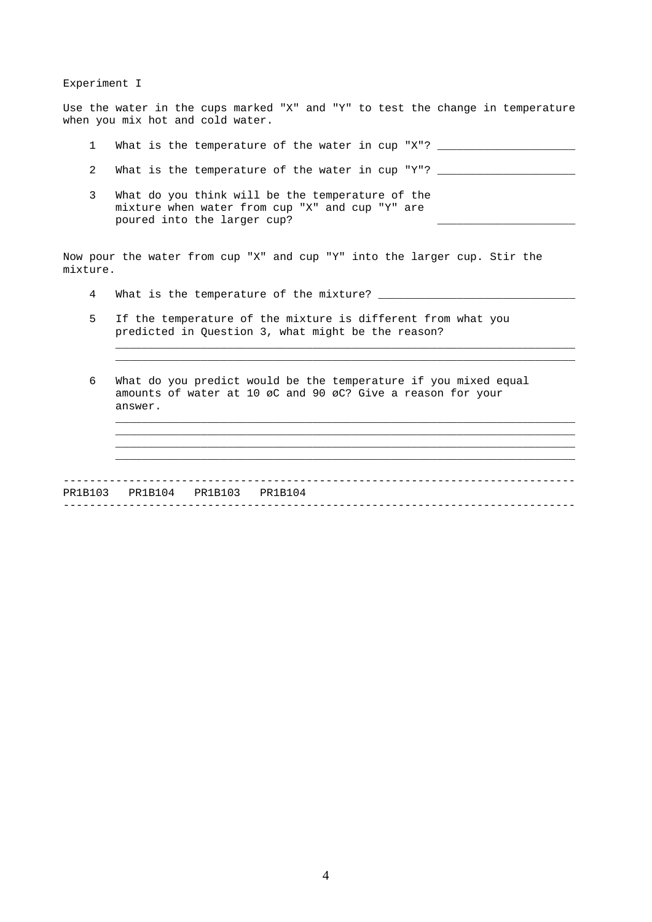Experiment I

Use the water in the cups marked "X" and "Y" to test the change in temperature when you mix hot and cold water.

- 1 What is the temperature of the water in cup "X"? \_\_\_\_\_\_\_\_\_\_\_\_\_\_\_\_\_\_\_\_\_\_\_\_\_\_\_\_\_
- 2 What is the temperature of the water in cup "Y"? \_\_\_
- 3 What do you think will be the temperature of the mixture when water from cup "X" and cup "Y" are poured into the larger cup?

Now pour the water from cup "X" and cup "Y" into the larger cup. Stir the mixture.

- 4 What is the temperature of the mixture? \_\_\_\_\_\_\_\_\_\_\_\_\_\_\_\_\_\_\_\_\_\_\_\_\_\_\_\_\_\_
- 5 If the temperature of the mixture is different from what you predicted in Question 3, what might be the reason?
- 6 What do you predict would be the temperature if you mixed equal amounts of water at 10 øC and 90 øC? Give a reason for your answer.

\_\_\_\_\_\_\_\_\_\_\_\_\_\_\_\_\_\_\_\_\_\_\_\_\_\_\_\_\_\_\_\_\_\_\_\_\_\_\_\_\_\_\_\_\_\_\_\_\_\_\_\_\_\_\_\_\_\_\_\_\_\_\_\_\_\_\_\_\_\_ \_\_\_\_\_\_\_\_\_\_\_\_\_\_\_\_\_\_\_\_\_\_\_\_\_\_\_\_\_\_\_\_\_\_\_\_\_\_\_\_\_\_\_\_\_\_\_\_\_\_\_\_\_\_\_\_\_\_\_\_\_\_\_\_\_\_\_\_\_\_

\_\_\_\_\_\_\_\_\_\_\_\_\_\_\_\_\_\_\_\_\_\_\_\_\_\_\_\_\_\_\_\_\_\_\_\_\_\_\_\_\_\_\_\_\_\_\_\_\_\_\_\_\_\_\_\_\_\_\_\_\_\_\_\_\_\_\_\_\_\_ \_\_\_\_\_\_\_\_\_\_\_\_\_\_\_\_\_\_\_\_\_\_\_\_\_\_\_\_\_\_\_\_\_\_\_\_\_\_\_\_\_\_\_\_\_\_\_\_\_\_\_\_\_\_\_\_\_\_\_\_\_\_\_\_\_\_\_\_\_\_ \_\_\_\_\_\_\_\_\_\_\_\_\_\_\_\_\_\_\_\_\_\_\_\_\_\_\_\_\_\_\_\_\_\_\_\_\_\_\_\_\_\_\_\_\_\_\_\_\_\_\_\_\_\_\_\_\_\_\_\_\_\_\_\_\_\_\_\_\_\_ \_\_\_\_\_\_\_\_\_\_\_\_\_\_\_\_\_\_\_\_\_\_\_\_\_\_\_\_\_\_\_\_\_\_\_\_\_\_\_\_\_\_\_\_\_\_\_\_\_\_\_\_\_\_\_\_\_\_\_\_\_\_\_\_\_\_\_\_\_\_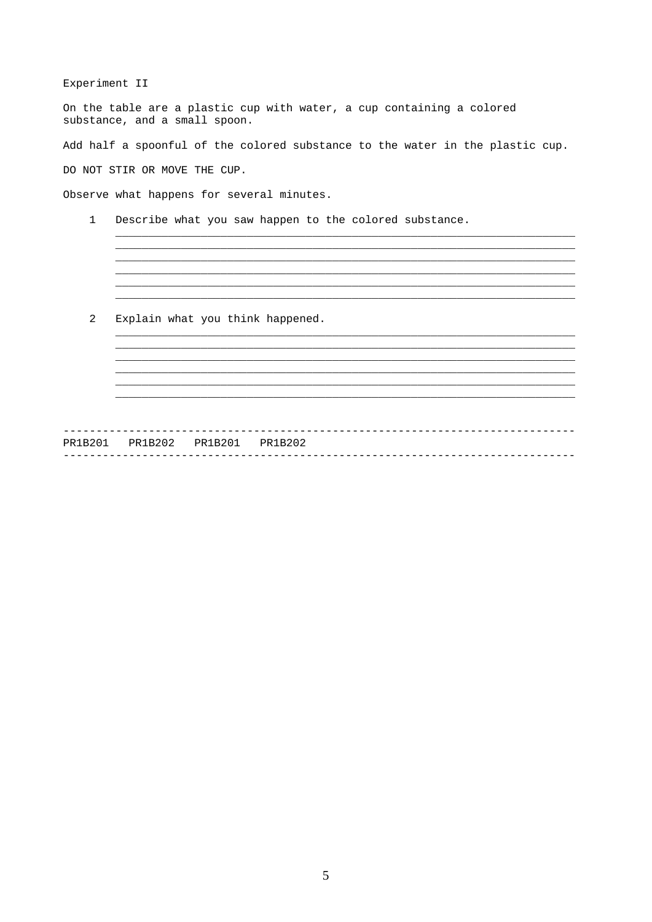Experiment II

On the table are a plastic cup with water, a cup containing a colored substance, and a small spoon.

Add half a spoonful of the colored substance to the water in the plastic cup.

DO NOT STIR OR MOVE THE CUP.

Observe what happens for several minutes.

 $\mathbf 1$ Describe what you saw happen to the colored substance.

 $\overline{a}$ Explain what you think happened.